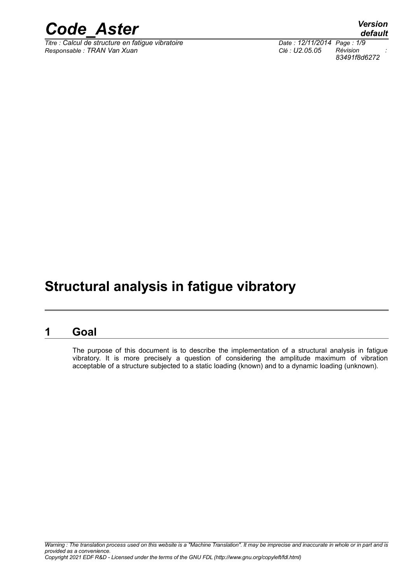

 $\overline{T}$ itre : Calcul de structure en fatigue vibratoire *Responsable : TRAN Van Xuan Clé : U2.05.05 Révision :*

*default 83491f8d6272*

### **Structural analysis in fatigue vibratory**

#### **1 Goal**

<span id="page-0-0"></span>The purpose of this document is to describe the implementation of a structural analysis in fatigue vibratory. It is more precisely a question of considering the amplitude maximum of vibration acceptable of a structure subjected to a static loading (known) and to a dynamic loading (unknown).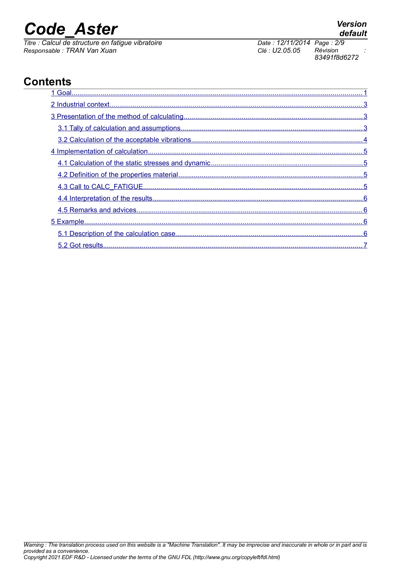*Titre : Calcul de structure en fatigue vibratoire Date : 12/11/2014 Page : 2/9 Responsable : TRAN Van Xuan Clé : U2.05.05 Révision :*

*83491f8d6272*

## *default*

### **Contents**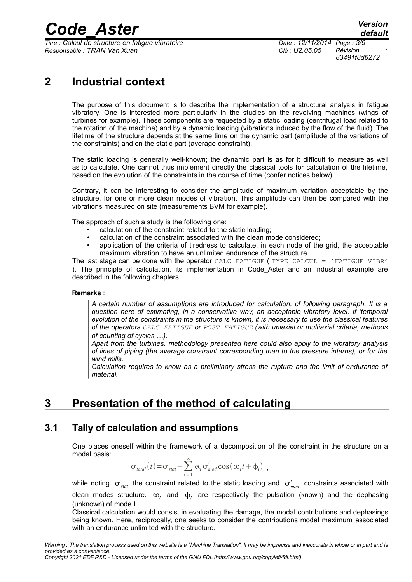*Titre : Calcul de structure en fatigue vibratoire Date : 12/11/2014 Page : 3/9 Responsable : TRAN Van Xuan Clé : U2.05.05 Révision :*

*83491f8d6272*

### **2 Industrial context**

<span id="page-2-2"></span>The purpose of this document is to describe the implementation of a structural analysis in fatigue vibratory. One is interested more particularly in the studies on the revolving machines (wings of turbines for example). These components are requested by a static loading (centrifugal load related to the rotation of the machine) and by a dynamic loading (vibrations induced by the flow of the fluid). The lifetime of the structure depends at the same time on the dynamic part (amplitude of the variations of the constraints) and on the static part (average constraint).

The static loading is generally well-known; the dynamic part is as for it difficult to measure as well as to calculate. One cannot thus implement directly the classical tools for calculation of the lifetime, based on the evolution of the constraints in the course of time (confer notices below).

Contrary, it can be interesting to consider the amplitude of maximum variation acceptable by the structure, for one or more clean modes of vibration. This amplitude can then be compared with the vibrations measured on site (measurements BVM for example).

The approach of such a study is the following one:

- calculation of the constraint related to the static loading;
- calculation of the constraint associated with the clean mode considered;
- application of the criteria of tiredness to calculate, in each node of the grid, the acceptable maximum vibration to have an unlimited endurance of the structure.

The last stage can be done with the operator CALC\_FATIGUE (TYPE\_CALCUL = 'FATIGUE VIBR' ). The principle of calculation, its implementation in Code\_Aster and an industrial example are described in the following chapters.

#### **Remarks** :

*A certain number of assumptions are introduced for calculation, cf following paragraph. It is a question here of estimating, in a conservative way, an acceptable vibratory level. If 'temporal evolution of the constraints in the structure is known, it is necessary to use the classical features of the operators CALC\_FATIGUE or POST\_FATIGUE (with uniaxial or multiaxial criteria, methods of counting of cycles,…).*

*Apart from the turbines, methodology presented here could also apply to the vibratory analysis of lines of piping (the average constraint corresponding then to the pressure interns), or for the wind mills.* 

*Calculation requires to know as a preliminary stress the rupture and the limit of endurance of material.*

### <span id="page-2-1"></span>**3 Presentation of the method of calculating**

#### **3.1 Tally of calculation and assumptions**

<span id="page-2-0"></span>One places oneself within the framework of a decomposition of the constraint in the structure on a modal basis:

$$
\sigma_{total}(t) = \sigma_{stat} + \sum_{i=1}^{\infty} \alpha_i \sigma_{mod}^{i} \cos(\omega_i t + \phi_i) ,
$$

while noting  $\sigma_{_{stat}}$  the constraint related to the static loading and  $\sigma_{_{mod}}^{^i}$  constraints associated with clean modes structure.  $\omega_i$  and  $\Phi_i$  are respectively the pulsation (known) and the dephasing (unknown) of mode I.

Classical calculation would consist in evaluating the damage, the modal contributions and dephasings being known. Here, reciprocally, one seeks to consider the contributions modal maximum associated with an endurance unlimited with the structure.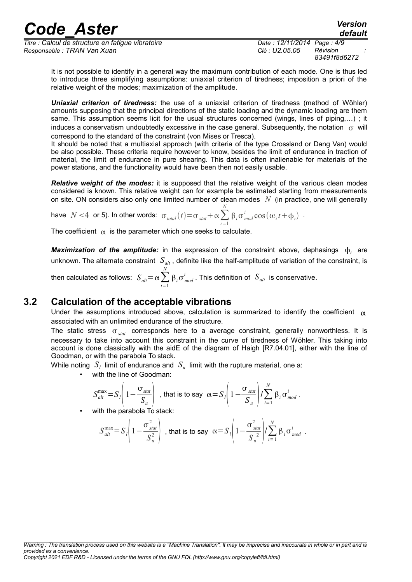*Titre : Calcul de structure en fatigue vibratoire Date : 12/11/2014 Page : 4/9 Responsable : TRAN Van Xuan Clé : U2.05.05 Révision :*

*83491f8d6272*

*default*

It is not possible to identify in a general way the maximum contribution of each mode. One is thus led to introduce three simplifying assumptions: uniaxial criterion of tiredness; imposition a priori of the relative weight of the modes; maximization of the amplitude.

*Uniaxial criterion of tiredness:* the use of a uniaxial criterion of tiredness (method of Wöhler) amounts supposing that the principal directions of the static loading and the dynamic loading are them same. This assumption seems licit for the usual structures concerned (wings, lines of piping,...) ; it induces a conservatism undoubtedly excessive in the case general. Subsequently, the notation  $\sigma$  will correspond to the standard of the constraint (von Mises or Tresca).

It should be noted that a multiaxial approach (with criteria of the type Crossland or Dang Van) would be also possible. These criteria require however to know, besides the limit of endurance in traction of material, the limit of endurance in pure shearing. This data is often inalienable for materials of the power stations, and the functionality would have been then not easily usable.

*Relative weight of the modes:* it is supposed that the relative weight of the various clean modes considered is known. This relative weight can for example be estimated starting from measurements on site. ON considers also only one limited number of clean modes *N* (in practice, one will generally

have 
$$
N < 4
$$
 or 5). In other words:  $\sigma_{total}(t) = \sigma_{stat} + \alpha \sum_{i=1}^{N} \beta_i \sigma_{mod}^{i} \cos(\omega_i t + \phi_i)$ .

The coefficient  $\alpha$  is the parameter which one seeks to calculate.

**Maximization of the amplitude:** in the expression of the constraint above, dephasings  $\phi_i$  are unknown. The alternate constraint  $S_{ab}$ , definite like the half-amplitude of variation of the constraint, is

then calculated as follows:  $S_{\mathit{alt}} = \alpha \sum_{i=1}$ *N*  $\beta_i \sigma_{mod}^i$  . This definition of  $S_{alt}$  is conservative.

#### **3.2 Calculation of the acceptable vibrations**

<span id="page-3-0"></span>Under the assumptions introduced above, calculation is summarized to identify the coefficient  $\alpha$ associated with an unlimited endurance of the structure.

The static stress  $\sigma_{stat}$  corresponds here to a average constraint, generally nonworthless. It is necessary to take into account this constraint in the curve of tiredness of Wöhler. This taking into account is done classically with the aidE of the diagram of Haigh [R7.04.01], either with the line of Goodman, or with the parabola To stack.

While noting  $|S_i|$  limit of endurance and  $|S_u|$  limit with the rupture material, one a:

with the line of Goodman:

$$
S_{\text{alt}}^{\text{max}} = S_l \left( 1 - \frac{\sigma_{\text{stat}}}{S_u} \right) \text{ , that is to say } \alpha = S_l \left( 1 - \frac{\sigma_{\text{stat}}}{S_u} \right) / \sum_{i=1}^N \beta_i \sigma_{\text{mod}}^i \, .
$$

with the parabola To stack:

$$
S_{\text{alt}}^{\text{max}} = S_l \left( 1 - \frac{\sigma_{\text{stat}}^2}{S_{\text{u}}^2} \right) \text{ , that is to say } \alpha = S_l \left( 1 - \frac{\sigma_{\text{stat}}^2}{S_{\text{u}}^2} \right) / \sum_{i=1}^N \beta_i \sigma_{\text{mod}}^i \ .
$$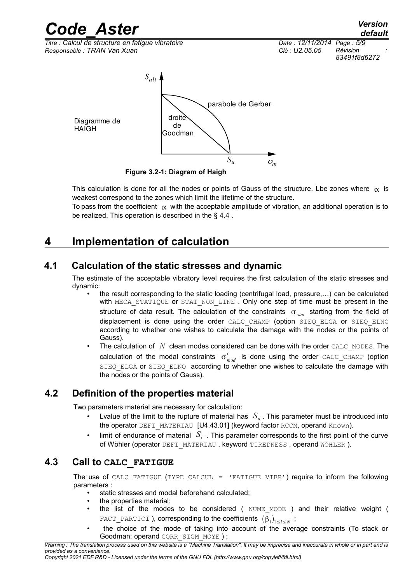*Titre : Calcul de structure en fatigue vibratoire Date : 12/11/2014 Page : 5/9 Responsable : TRAN Van Xuan Clé : U2.05.05 Révision :*

*83491f8d6272*



**Figure 3.2-1: Diagram of Haigh**

This calculation is done for all the nodes or points of Gauss of the structure. Lbe zones where  $\alpha$  is weakest correspond to the zones which limit the lifetime of the structure.

To pass from the coefficient  $\alpha$  with the acceptable amplitude of vibration, an additional operation is to be realized. This operation is described in the § [4.4](#page-5-3) .

### <span id="page-4-3"></span>**4 Implementation of calculation**

#### **4.1 Calculation of the static stresses and dynamic**

<span id="page-4-2"></span>The estimate of the acceptable vibratory level requires the first calculation of the static stresses and dynamic:

- the result corresponding to the static loading (centrifugal load, pressure,…) can be calculated with MECA STATIQUE or STAT NON LINE . Only one step of time must be present in the structure of data result. The calculation of the constraints  $\sigma_{stat}$  starting from the field of displacement is done using the order CALC\_CHAMP (option SIEQ\_ELGA or SIEQ\_ELNO according to whether one wishes to calculate the damage with the nodes or the points of Gauss).
- The calculation of *N* clean modes considered can be done with the order CALC\_MODES. The calculation of the modal constraints  $\sigma_{mod}^i$  is done using the order  $\texttt{CALC\_CHAMP}$  (option SIEQ ELGA or SIEQ ELNO according to whether one wishes to calculate the damage with the nodes or the points of Gauss).

### **4.2 Definition of the properties material**

<span id="page-4-1"></span>Two parameters material are necessary for calculation:

- Lvalue of the limit to the rupture of material has *S<sup>u</sup>* . This parameter must be introduced into the operator DEFI\_MATERIAU [U4.43.01] (keyword factor RCCM, operand Known).
- Iimit of endurance of material  $|S_i|$ . This parameter corresponds to the first point of the curve of Wöhler (operator DEFI\_MATERIAU, keyword TIREDNESS, operand WOHLER).

#### **4.3 Call to CALC\_FATIGUE**

<span id="page-4-0"></span>The use of CALC\_FATIGUE (TYPE\_CALCUL =  $\text{YFATIGUE}$  VIBR') require to inform the following parameters :

- static stresses and modal beforehand calculated;
- the properties material;
- the list of the modes to be considered (NUME\_MODE ) and their relative weight (  $\tt{FACT\_PARTICI}$  ), corresponding to the coefficients  $\left(\bm{\beta}_i\right)_{1\leq i\leq N}$  ;
- the choice of the mode of taking into account of the average constraints (To stack or Goodman: operand CORR\_SIGM\_MOYE ) ;

*Warning : The translation process used on this website is a "Machine Translation". It may be imprecise and inaccurate in whole or in part and is provided as a convenience.*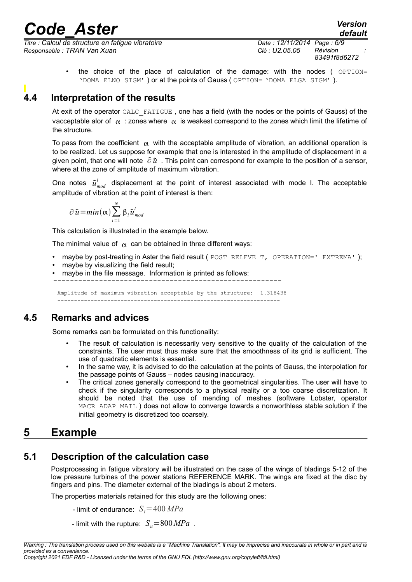*Titre : Calcul de structure en fatigue vibratoire Date : 12/11/2014 Page : 6/9 Responsable : TRAN Van Xuan Clé : U2.05.05 Révision :*

*83491f8d6272*

*default*

the choice of the place of calculation of the damage: with the nodes  $($  OPTION= 'DOMA\_ELNO\_SIGM' ) or at the points of Gauss ( OPTION= 'DOMA\_ELGA\_SIGM' ).

#### **4.4 Interpretation of the results**

<span id="page-5-3"></span>At exit of the operator CALC\_FATIGUE , one has a field (with the nodes or the points of Gauss) of the vacceptable alor of  $\alpha$  : zones where  $\alpha$  is weakest correspond to the zones which limit the lifetime of the structure.

To pass from the coefficient  $\alpha$  with the acceptable amplitude of vibration, an additional operation is to be realized. Let us suppose for example that one is interested in the amplitude of displacement in a given point, that one will note ∂ *u* . This point can correspond for example to the position of a sensor, where at the zone of amplitude of maximum vibration.

One notes  $\tilde{u}^i_{mod}$  displacement at the point of interest associated with mode I. The acceptable amplitude of vibration at the point of interest is then:

$$
\partial \tilde{u} = min(\alpha) \sum_{i=1}^{N} \beta_{i} \tilde{u}_{mod}^{i}
$$

This calculation is illustrated in the example below.

The minimal value of  $\alpha$  can be obtained in three different ways:

- maybe by post-treating in Aster the field result ( POST\_RELEVE\_T, OPERATION=' EXTREMA');
- maybe by visualizing the field result;
- maybe in the file message. Information is printed as follows:

 $-$ 

Amplitude of maximum vibration acceptable by the structure: 1.318438 -------------------------------------------------------------------

#### **4.5 Remarks and advices**

<span id="page-5-2"></span>Some remarks can be formulated on this functionality:

- The result of calculation is necessarily very sensitive to the quality of the calculation of the constraints. The user must thus make sure that the smoothness of its grid is sufficient. The use of quadratic elements is essential.
- In the same way, it is advised to do the calculation at the points of Gauss, the interpolation for the passage points of Gauss – nodes causing inaccuracy.
- The critical zones generally correspond to the geometrical singularities. The user will have to check if the singularity corresponds to a physical reality or a too coarse discretization. It should be noted that the use of mending of meshes (software Lobster, operator MACR\_ADAP\_MAIL ) does not allow to converge towards a nonworthless stable solution if the initial geometry is discretized too coarsely.

### <span id="page-5-1"></span>**5 Example**

#### **5.1 Description of the calculation case**

<span id="page-5-0"></span>Postprocessing in fatigue vibratory will be illustrated on the case of the wings of bladings 5-12 of the low pressure turbines of the power stations REFERENCE MARK. The wings are fixed at the disc by fingers and pins. The diameter external of the bladings is about 2 meters.

The properties materials retained for this study are the following ones:

- limit of endurance:  $S_i = 400 MPa$
- limit with the rupture:  $S_u = 800 MPa$ .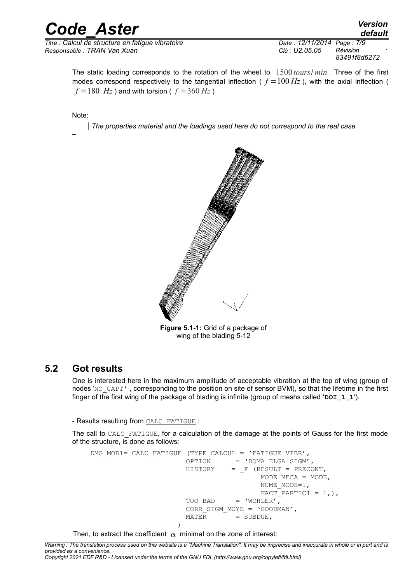*Titre : Calcul de structure en fatigue vibratoire Date : 12/11/2014 Page : 7/9 Responsable : TRAN Van Xuan Clé : U2.05.05 Révision :*

*83491f8d6272*

The static loading corresponds to the rotation of the wheel to 1500*tours*/ *min* . Three of the first modes correspond respectively to the tangential inflection ( $f = 100 Hz$ ), with the axial inflection (  $f = 180$  *Hz* ) and with torsion (  $f = 360$  *Hz* )

Note:

–

*The properties material and the loadings used here do not correspond to the real case.*



**Figure 5.1-1:** Grid of a package of wing of the blading 5-12

#### **5.2 Got results**

<span id="page-6-0"></span>One is interested here in the maximum amplitude of acceptable vibration at the top of wing (group of nodes 'NO\_CAPT', corresponding to the position on site of sensor BVM), so that the lifetime in the first finger of the first wing of the package of blading is infinite (group of meshs called '**DOI\_1\_1**').

- Results resulting from CALC\_FATIGUE :

The call to CALC FATIGUE, for a calculation of the damage at the points of Gauss for the first mode of the structure, is done as follows:

DMG\_MOD1= CALC\_FATIGUE (TYPE\_CALCUL = 'FATIGUE\_VIBR',  $OPTION = 'DOMA_ELGA_SIGM',$  $HISTORY = F (RESULT = PRECONT,$ MODE  $MECA = MODE$ , NUME\_MODE=1,  $\overline{FACT}$  PARTICI = 1, ), TOO BAD = 'WOHLER', CORR\_SIGM\_MOYE = 'GOODMAN',  $MATER$  = SUBDUE, )

Then, to extract the coefficient  $\alpha$  minimal on the zone of interest:

*Warning : The translation process used on this website is a "Machine Translation". It may be imprecise and inaccurate in whole or in part and is provided as a convenience.*

*Copyright 2021 EDF R&D - Licensed under the terms of the GNU FDL (http://www.gnu.org/copyleft/fdl.html)*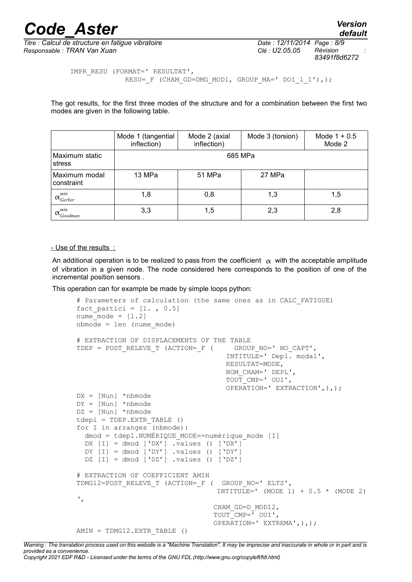*default*

*Titre : Calcul de structure en fatigue vibratoire Date : 12/11/2014 Page : 8/9 Responsable : TRAN Van Xuan Clé : U2.05.05 Révision :*

*83491f8d6272*

```
IMPR_RESU (FORMAT=' RESULTAT',
             RESU= F (CHAM GD=DMG MOD1, GROUP MA=' DOI 1 1'),);
```
The got results, for the first three modes of the structure and for a combination between the first two modes are given in the following table.

|                                       | Mode 1 (tangential<br>inflection) | Mode 2 (axial<br>inflection) | Mode 3 (torsion) | Mode $1 + 0.5$<br>Mode 2 |  |  |  |  |  |
|---------------------------------------|-----------------------------------|------------------------------|------------------|--------------------------|--|--|--|--|--|
| Maximum static<br>stress              | 685 MPa                           |                              |                  |                          |  |  |  |  |  |
| Maximum modal<br>constraint           | 13 MPa                            | 51 MPa                       | 27 MPa           |                          |  |  |  |  |  |
| $\alpha_{\text{Gerber}}^{\text{min}}$ | 1,8                               | 0,8                          | 1,3              | 1,5                      |  |  |  |  |  |
| min<br>$\alpha_{Goodman}$             | 3,3                               | 1,5                          | 2,3              | 2,8                      |  |  |  |  |  |

#### - Use of the results :

An additional operation is to be realized to pass from the coefficient  $\alpha$  with the acceptable amplitude of vibration in a given node. The node considered here corresponds to the position of one of the incremental position sensors .

This operation can for example be made by simple loops python:

```
# Parameters of calculation (the same ones as in CALC_FATIGUE)
fact partici = [1. , 0.5]nume mode = [1.2]nbmode = len (nume_mode)
# EXTRACTION OF DISPLACEMENTS OF THE TABLE
TDEP = POST_RELEVE_T (ACTION= F ( GROUP NO=' NO_CAPT',
                                      INTITULE=' Depl. modal',
                                      RESULTAT=MODE,
                                      NOM_CHAM=' DEPL',
                                      TOUT_CMP=' OUI',
                                      OPERATION=' EXTRACTION',),);
DX = [Nun] *nbmode
DY = [Nun] *nbmode
DZ = [Nun] *nbmode
tdepl = TDEP.EXTR_TABLE ()
for I in arranges (nbmode):
  dmod = tdepl.NUMÉRIQUE MODE==numérique mode [I]
  DX [I] = dmod [YDX'] .values () [YDX']DY [I] = \text{dmod} [\text{DY}'] .values () [\text{DY}']DZ [I] = dmod ['DZ'] .values () ['DZ']
# EXTRACTION OF COEFFICIENT AMIN
TDMG12=POST_RELEVE_T (ACTION=_F ( GROUP_NO=' ELTS',
                                   INTITULE=' (MODE 1) + 0.5 * (MODE 2)
',
                                   CHAM_GD=D_MOD12,
                                   TOUT_CMP=' OUI',
                                   OPERATION=' EXTREMA',),);
AMIN = TDMG12.EXTR_TABLE ()
```
*Warning : The translation process used on this website is a "Machine Translation". It may be imprecise and inaccurate in whole or in part and is provided as a convenience. Copyright 2021 EDF R&D - Licensed under the terms of the GNU FDL (http://www.gnu.org/copyleft/fdl.html)*